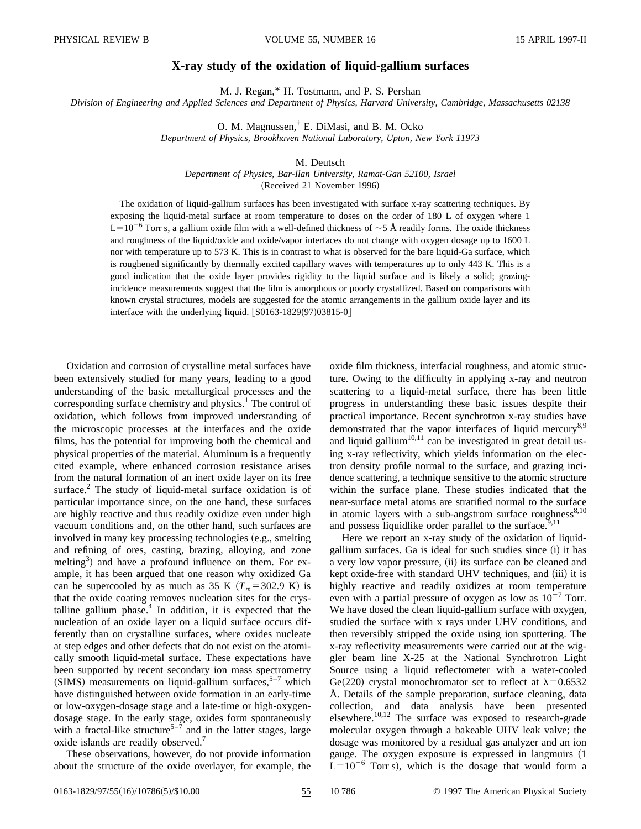## **X-ray study of the oxidation of liquid-gallium surfaces**

M. J. Regan,\* H. Tostmann, and P. S. Pershan

*Division of Engineering and Applied Sciences and Department of Physics, Harvard University, Cambridge, Massachusetts 02138*

O. M. Magnussen,† E. DiMasi, and B. M. Ocko

*Department of Physics, Brookhaven National Laboratory, Upton, New York 11973*

## M. Deutsch

*Department of Physics, Bar-Ilan University, Ramat-Gan 52100, Israel*

(Received 21 November 1996)

The oxidation of liquid-gallium surfaces has been investigated with surface x-ray scattering techniques. By exposing the liquid-metal surface at room temperature to doses on the order of 180 L of oxygen where 1  $L=10^{-6}$  Torr s, a gallium oxide film with a well-defined thickness of  $\sim$  5 Å readily forms. The oxide thickness and roughness of the liquid/oxide and oxide/vapor interfaces do not change with oxygen dosage up to 1600 L nor with temperature up to 573 K. This is in contrast to what is observed for the bare liquid-Ga surface, which is roughened significantly by thermally excited capillary waves with temperatures up to only 443 K. This is a good indication that the oxide layer provides rigidity to the liquid surface and is likely a solid; grazingincidence measurements suggest that the film is amorphous or poorly crystallized. Based on comparisons with known crystal structures, models are suggested for the atomic arrangements in the gallium oxide layer and its interface with the underlying liquid.  $[$0163-1829(97)03815-0]$ 

Oxidation and corrosion of crystalline metal surfaces have been extensively studied for many years, leading to a good understanding of the basic metallurgical processes and the corresponding surface chemistry and physics.<sup>1</sup> The control of oxidation, which follows from improved understanding of the microscopic processes at the interfaces and the oxide films, has the potential for improving both the chemical and physical properties of the material. Aluminum is a frequently cited example, where enhanced corrosion resistance arises from the natural formation of an inert oxide layer on its free surface.<sup>2</sup> The study of liquid-metal surface oxidation is of particular importance since, on the one hand, these surfaces are highly reactive and thus readily oxidize even under high vacuum conditions and, on the other hand, such surfaces are involved in many key processing technologies (e.g., smelting and refining of ores, casting, brazing, alloying, and zone melting<sup>3</sup>) and have a profound influence on them. For example, it has been argued that one reason why oxidized Ga can be supercooled by as much as 35 K  $(T_m=302.9 \text{ K})$  is that the oxide coating removes nucleation sites for the crystalline gallium phase. $4$  In addition, it is expected that the nucleation of an oxide layer on a liquid surface occurs differently than on crystalline surfaces, where oxides nucleate at step edges and other defects that do not exist on the atomically smooth liquid-metal surface. These expectations have been supported by recent secondary ion mass spectrometry  $(SIMS)$  measurements on liquid-gallium surfaces,<sup>5–7</sup> which have distinguished between oxide formation in an early-time or low-oxygen-dosage stage and a late-time or high-oxygendosage stage. In the early stage, oxides form spontaneously with a fractal-like structure<sup>5-7</sup> and in the latter stages, large oxide islands are readily observed.<sup>7</sup>

These observations, however, do not provide information about the structure of the oxide overlayer, for example, the oxide film thickness, interfacial roughness, and atomic structure. Owing to the difficulty in applying x-ray and neutron scattering to a liquid-metal surface, there has been little progress in understanding these basic issues despite their practical importance. Recent synchrotron x-ray studies have demonstrated that the vapor interfaces of liquid mercury<sup>8,9</sup> and liquid gallium $10,11$  can be investigated in great detail using x-ray reflectivity, which yields information on the electron density profile normal to the surface, and grazing incidence scattering, a technique sensitive to the atomic structure within the surface plane. These studies indicated that the near-surface metal atoms are stratified normal to the surface in atomic layers with a sub-angstrom surface roughness $8,10$ and possess liquidlike order parallel to the surface.  $9,11$ 

Here we report an x-ray study of the oxidation of liquidgallium surfaces. Ga is ideal for such studies since  $(i)$  it has a very low vapor pressure, (ii) its surface can be cleaned and kept oxide-free with standard UHV techniques, and (iii) it is highly reactive and readily oxidizes at room temperature even with a partial pressure of oxygen as low as  $10^{-7}$  Torr. We have dosed the clean liquid-gallium surface with oxygen, studied the surface with x rays under UHV conditions, and then reversibly stripped the oxide using ion sputtering. The x-ray reflectivity measurements were carried out at the wiggler beam line X-25 at the National Synchrotron Light Source using a liquid reflectometer with a water-cooled Ge(220) crystal monochromator set to reflect at  $\lambda$ =0.6532 Å. Details of the sample preparation, surface cleaning, data collection, and data analysis have been presented elsewhere.<sup>10,12</sup> The surface was exposed to research-grade molecular oxygen through a bakeable UHV leak valve; the dosage was monitored by a residual gas analyzer and an ion gauge. The oxygen exposure is expressed in langmuirs  $(1)$  $L=10^{-6}$  Torr s), which is the dosage that would form a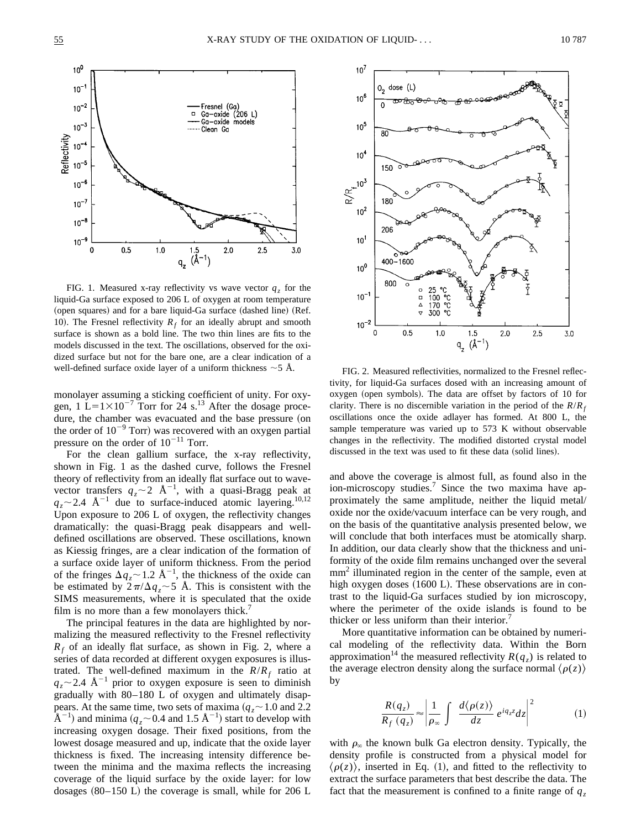

FIG. 1. Measured x-ray reflectivity vs wave vector  $q<sub>z</sub>$  for the liquid-Ga surface exposed to 206 L of oxygen at room temperature (open squares) and for a bare liquid-Ga surface (dashed line) (Ref. 10). The Fresnel reflectivity  $R_f$  for an ideally abrupt and smooth surface is shown as a bold line. The two thin lines are fits to the models discussed in the text. The oscillations, observed for the oxidized surface but not for the bare one, are a clear indication of a well-defined surface oxide layer of a uniform thickness  $\sim$  5 Å. FIG. 2. Measured reflectivities, normalized to the Fresnel reflec-

monolayer assuming a sticking coefficient of unity. For oxygen,  $1 L=1\times10^{-7}$  Torr for 24 s.<sup>13</sup> After the dosage procedure, the chamber was evacuated and the base pressure (on the order of  $10^{-9}$  Torr) was recovered with an oxygen partial pressure on the order of  $10^{-11}$  Torr.

For the clean gallium surface, the x-ray reflectivity, shown in Fig. 1 as the dashed curve, follows the Fresnel theory of reflectivity from an ideally flat surface out to wavevector transfers  $q_z \sim 2$  Å<sup>-1</sup>, with a quasi-Bragg peak at  $q_z \sim 2.4$  Å<sup>-1</sup> due to surface-induced atomic layering.<sup>10,12</sup> Upon exposure to 206 L of oxygen, the reflectivity changes dramatically: the quasi-Bragg peak disappears and welldefined oscillations are observed. These oscillations, known as Kiessig fringes, are a clear indication of the formation of a surface oxide layer of uniform thickness. From the period of the fringes  $\Delta q_z \sim 1.2 \text{ Å}^{-1}$ , the thickness of the oxide can be estimated by  $2\pi/\Delta q_z \sim 5$  Å. This is consistent with the SIMS measurements, where it is speculated that the oxide film is no more than a few monolayers thick.<sup>7</sup>

The principal features in the data are highlighted by normalizing the measured reflectivity to the Fresnel reflectivity  $R_f$  of an ideally flat surface, as shown in Fig. 2, where a series of data recorded at different oxygen exposures is illustrated. The well-defined maximum in the  $R/R<sub>f</sub>$  ratio at  $q_z \sim$  2.4 Å<sup>-1</sup> prior to oxygen exposure is seen to diminish gradually with 80–180 L of oxygen and ultimately disappears. At the same time, two sets of maxima  $(q_z \sim 1.0 \text{ and } 2.2)$  $\rm \AA^{-1}$ ) and minima ( $q_z$  ~ 0.4 and 1.5  $\rm \AA^{-1}$ ) start to develop with increasing oxygen dosage. Their fixed positions, from the lowest dosage measured and up, indicate that the oxide layer thickness is fixed. The increasing intensity difference between the minima and the maxima reflects the increasing coverage of the liquid surface by the oxide layer: for low dosages  $(80-150 \text{ L})$  the coverage is small, while for 206 L



tivity, for liquid-Ga surfaces dosed with an increasing amount of oxygen (open symbols). The data are offset by factors of 10 for clarity. There is no discernible variation in the period of the  $R/R<sub>f</sub>$ oscillations once the oxide adlayer has formed. At 800 L, the sample temperature was varied up to 573 K without observable changes in the reflectivity. The modified distorted crystal model discussed in the text was used to fit these data (solid lines).

and above the coverage is almost full, as found also in the ion-microscopy studies.<sup>7</sup> Since the two maxima have approximately the same amplitude, neither the liquid metal/ oxide nor the oxide/vacuum interface can be very rough, and on the basis of the quantitative analysis presented below, we will conclude that both interfaces must be atomically sharp. In addition, our data clearly show that the thickness and uniformity of the oxide film remains unchanged over the several mm<sup>2</sup> illuminated region in the center of the sample, even at high oxygen doses  $(1600 \text{ L})$ . These observations are in contrast to the liquid-Ga surfaces studied by ion microscopy, where the perimeter of the oxide islands is found to be thicker or less uniform than their interior.<sup>7</sup>

More quantitative information can be obtained by numerical modeling of the reflectivity data. Within the Born approximation<sup>14</sup> the measured reflectivity  $R(q_z)$  is related to the average electron density along the surface normal  $\langle \rho(z) \rangle$ by

$$
\frac{R(q_z)}{R_f(q_z)} \approx \left| \frac{1}{\rho_{\infty}} \int \frac{d\langle \rho(z) \rangle}{dz} e^{iq_z z} dz \right|^2 \tag{1}
$$

with  $\rho_{\infty}$  the known bulk Ga electron density. Typically, the density profile is constructed from a physical model for  $\langle \rho(z) \rangle$ , inserted in Eq. (1), and fitted to the reflectivity to extract the surface parameters that best describe the data. The fact that the measurement is confined to a finite range of  $q<sub>z</sub>$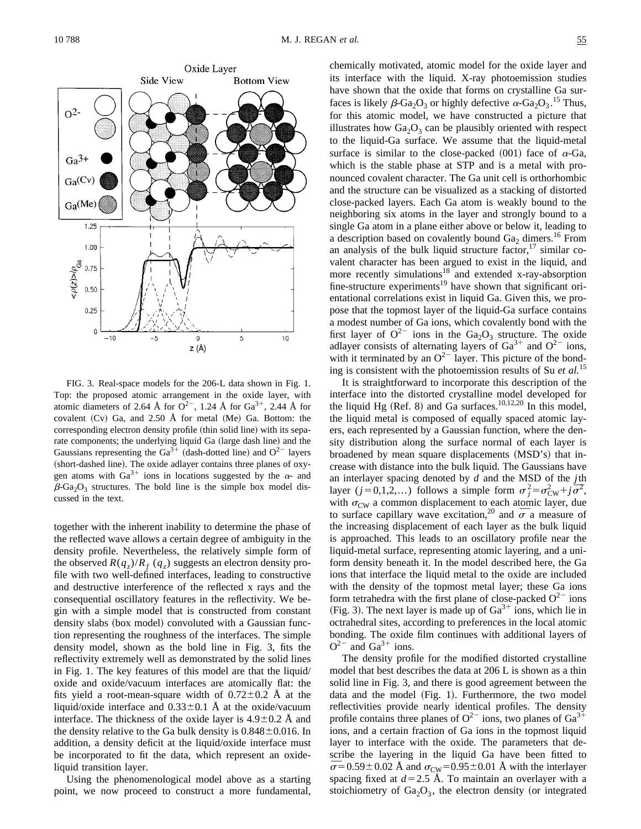

FIG. 3. Real-space models for the 206-L data shown in Fig. 1. Top: the proposed atomic arrangement in the oxide layer, with atomic diameters of 2.64 Å for  $O^{2-}$ , 1.24 Å for  $Ga^{3+}$ , 2.44 Å for covalent  $(Cv)$  Ga, and 2.50 Å for metal  $(Me)$  Ga. Bottom: the corresponding electron density profile (thin solid line) with its separate components; the underlying liquid Ga (large dash line) and the Gaussians representing the Ga<sup>3+</sup> (dash-dotted line) and  $O^{2-}$  layers (short-dashed line). The oxide adlayer contains three planes of oxygen atoms with  $Ga^{3+}$  ions in locations suggested by the  $\alpha$ - and  $\beta$ -Ga<sub>2</sub>O<sub>3</sub> structures. The bold line is the simple box model discussed in the text.

together with the inherent inability to determine the phase of the reflected wave allows a certain degree of ambiguity in the density profile. Nevertheless, the relatively simple form of the observed  $R(q_z)/R_f(q_z)$  suggests an electron density profile with two well-defined interfaces, leading to constructive and destructive interference of the reflected x rays and the consequential oscillatory features in the reflectivity. We begin with a simple model that is constructed from constant density slabs (box model) convoluted with a Gaussian function representing the roughness of the interfaces. The simple density model, shown as the bold line in Fig. 3, fits the reflectivity extremely well as demonstrated by the solid lines in Fig. 1. The key features of this model are that the liquid/ oxide and oxide/vacuum interfaces are atomically flat: the fits yield a root-mean-square width of  $0.72 \pm 0.2$  Å at the liquid/oxide interface and  $0.33\pm0.1$  Å at the oxide/vacuum interface. The thickness of the oxide layer is  $4.9\pm0.2$  Å and the density relative to the Ga bulk density is  $0.848 \pm 0.016$ . In addition, a density deficit at the liquid/oxide interface must be incorporated to fit the data, which represent an oxideliquid transition layer.

Using the phenomenological model above as a starting point, we now proceed to construct a more fundamental, chemically motivated, atomic model for the oxide layer and its interface with the liquid. X-ray photoemission studies have shown that the oxide that forms on crystalline Ga surfaces is likely  $\beta$ -Ga<sub>2</sub>O<sub>3</sub> or highly defective  $\alpha$ -Ga<sub>2</sub>O<sub>3</sub>.<sup>15</sup> Thus, for this atomic model, we have constructed a picture that illustrates how  $Ga<sub>2</sub>O<sub>3</sub>$  can be plausibly oriented with respect to the liquid-Ga surface. We assume that the liquid-metal surface is similar to the close-packed  $(001)$  face of  $\alpha$ -Ga, which is the stable phase at STP and is a metal with pronounced covalent character. The Ga unit cell is orthorhombic and the structure can be visualized as a stacking of distorted close-packed layers. Each Ga atom is weakly bound to the neighboring six atoms in the layer and strongly bound to a single Ga atom in a plane either above or below it, leading to a description based on covalently bound  $Ga<sub>2</sub>$  dimers.<sup>16</sup> From an analysis of the bulk liquid structure factor, $17 \sinh$  covalent character has been argued to exist in the liquid, and more recently simulations<sup>18</sup> and extended x-ray-absorption fine-structure experiments<sup>19</sup> have shown that significant orientational correlations exist in liquid Ga. Given this, we propose that the topmost layer of the liquid-Ga surface contains a modest number of Ga ions, which covalently bond with the first layer of  $Q^{2-}$  ions in the Ga<sub>2</sub>O<sub>3</sub> structure. The oxide adlayer consists of alternating layers of  $Ga^{3+}$  and  $O^{2-}$  ions, with it terminated by an  $O^{2-}$  layer. This picture of the bonding is consistent with the photoemission results of Su *et al.*<sup>15</sup>

It is straightforward to incorporate this description of the interface into the distorted crystalline model developed for the liquid Hg  $(Ref. 8)$  and Ga surfaces.<sup>10,12,20</sup> In this model, the liquid metal is composed of equally spaced atomic layers, each represented by a Gaussian function, where the density distribution along the surface normal of each layer is broadened by mean square displacements (MSD's) that increase with distance into the bulk liquid. The Gaussians have an interlayer spacing denoted by *d* and the MSD of the *j*th an interlayer spacing denoted by d and the MSD of the jth layer  $(j=0,1,2,...)$  follows a simple form  $\sigma_j^2 = \sigma_{\text{CW}}^2 + j\overline{\sigma}^2$ , with  $\sigma_{\text{CW}}$  a common displacement to each atomic layer, due with  $\sigma_{CW}$  a common displacement to each atomic layer, due<br>to surface capillary wave excitation,<sup>20</sup> and  $\overline{\sigma}$  a measure of the increasing displacement of each layer as the bulk liquid is approached. This leads to an oscillatory profile near the liquid-metal surface, representing atomic layering, and a uniform density beneath it. In the model described here, the Ga ions that interface the liquid metal to the oxide are included with the density of the topmost metal layer; these Ga ions form tetrahedra with the first plane of close-packed  $O^{2-}$  ions (Fig. 3). The next layer is made up of  $Ga^{3+}$  ions, which lie in octrahedral sites, according to preferences in the local atomic bonding. The oxide film continues with additional layers of  $Q^{2-}$  and  $Ga^{3+}$  ions.

The density profile for the modified distorted crystalline model that best describes the data at 206 L is shown as a thin solid line in Fig. 3, and there is good agreement between the data and the model (Fig. 1). Furthermore, the two model reflectivities provide nearly identical profiles. The density profile contains three planes of  $O^{2-}$  ions, two planes of  $Ga^{3}$ ions, and a certain fraction of Ga ions in the topmost liquid layer to interface with the oxide. The parameters that describe the layering in the liquid Ga have been fitted to scribe the layering in the liquid Ga have been fitted to  $\overline{\sigma}$  = 0.59 ± 0.02 Å and  $\sigma_{\text{CW}}$  = 0.95 ± 0.01 Å with the interlayer spacing fixed at  $d=2.5$  Å. To maintain an overlayer with a stoichiometry of  $Ga<sub>2</sub>O<sub>3</sub>$ , the electron density (or integrated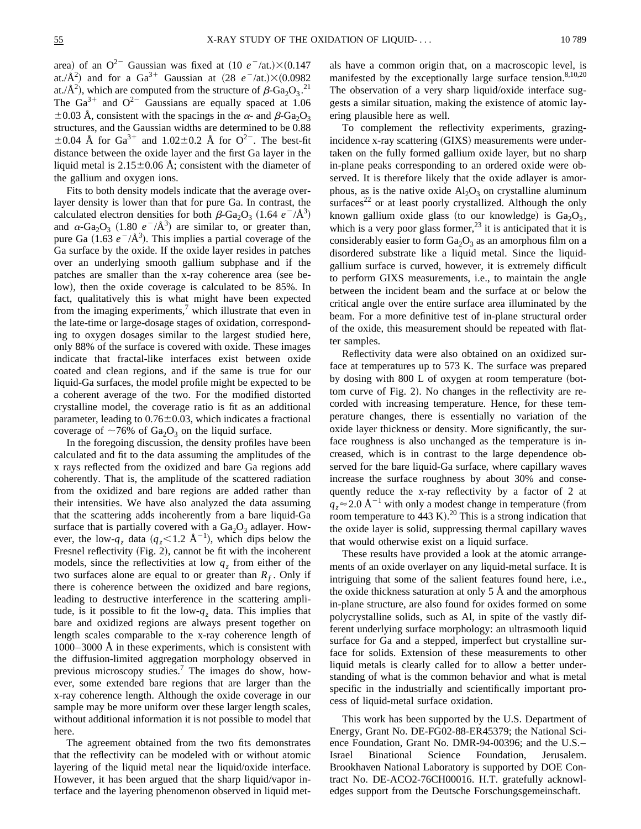area) of an  $Q^{2-}$  Gaussian was fixed at  $(10 e^{-1/2})\times(0.147)$ at./ $\AA^2$ ) and for a Ga<sup>3+</sup> Gaussian at  $(28 \text{ }e^-$ /at.) $\times (0.0982$ at./ $\hat{A}^2$ ), which are computed from the structure of  $\beta$ -Ga<sub>2</sub>O<sub>3</sub>.<sup>21</sup> The  $Ga^{3+}$  and  $O^{2-}$  Gaussians are equally spaced at 1.06  $\pm 0.03$  Å, consistent with the spacings in the  $\alpha$ - and  $\beta$ -Ga<sub>2</sub>O<sub>3</sub> structures, and the Gaussian widths are determined to be 0.88  $\pm 0.04$  Å for Ga<sup>3+</sup> and 1.02 $\pm$ 0.2 Å for O<sup>2-</sup>. The best-fit distance between the oxide layer and the first Ga layer in the liquid metal is  $2.15\pm0.06$  Å; consistent with the diameter of the gallium and oxygen ions.

Fits to both density models indicate that the average overlayer density is lower than that for pure Ga. In contrast, the calculated electron densities for both  $\beta$ -Ga<sub>2</sub>O<sub>3</sub> (1.64  $e^{-}/\text{\AA}^3$ ) and  $\alpha$ -Ga<sub>2</sub>O<sub>3</sub> (1.80  $e^{-}/\text{\AA}^3$ ) are similar to, or greater than, pure Ga  $(1.63 \, e^{-}/\text{\AA}^3)$ . This implies a partial coverage of the Ga surface by the oxide. If the oxide layer resides in patches over an underlying smooth gallium subphase and if the patches are smaller than the x-ray coherence area (see below), then the oxide coverage is calculated to be 85%. In fact, qualitatively this is what might have been expected from the imaging experiments, $\alpha$ <sup>7</sup> which illustrate that even in the late-time or large-dosage stages of oxidation, corresponding to oxygen dosages similar to the largest studied here, only 88% of the surface is covered with oxide. These images indicate that fractal-like interfaces exist between oxide coated and clean regions, and if the same is true for our liquid-Ga surfaces, the model profile might be expected to be a coherent average of the two. For the modified distorted crystalline model, the coverage ratio is fit as an additional parameter, leading to  $0.76 \pm 0.03$ , which indicates a fractional coverage of  $\sim$ 76% of Ga<sub>2</sub>O<sub>3</sub> on the liquid surface.

In the foregoing discussion, the density profiles have been calculated and fit to the data assuming the amplitudes of the x rays reflected from the oxidized and bare Ga regions add coherently. That is, the amplitude of the scattered radiation from the oxidized and bare regions are added rather than their intensities. We have also analyzed the data assuming that the scattering adds incoherently from a bare liquid-Ga surface that is partially covered with a  $Ga<sub>2</sub>O<sub>3</sub>$  adlayer. However, the low- $q_z$  data  $(q_z < 1.2 \text{ Å}^{-1})$ , which dips below the Fresnel reflectivity (Fig. 2), cannot be fit with the incoherent models, since the reflectivities at low  $q<sub>z</sub>$  from either of the two surfaces alone are equal to or greater than  $R_f$ . Only if there is coherence between the oxidized and bare regions, leading to destructive interference in the scattering amplitude, is it possible to fit the low- $q<sub>z</sub>$  data. This implies that bare and oxidized regions are always present together on length scales comparable to the x-ray coherence length of 1000–3000 Å in these experiments, which is consistent with the diffusion-limited aggregation morphology observed in previous microscopy studies.<sup>7</sup> The images do show, however, some extended bare regions that are larger than the x-ray coherence length. Although the oxide coverage in our sample may be more uniform over these larger length scales, without additional information it is not possible to model that here.

The agreement obtained from the two fits demonstrates that the reflectivity can be modeled with or without atomic layering of the liquid metal near the liquid/oxide interface. However, it has been argued that the sharp liquid/vapor interface and the layering phenomenon observed in liquid metals have a common origin that, on a macroscopic level, is manifested by the exceptionally large surface tension. $8,10,20$ The observation of a very sharp liquid/oxide interface suggests a similar situation, making the existence of atomic layering plausible here as well.

To complement the reflectivity experiments, grazingincidence x-ray scattering (GIXS) measurements were undertaken on the fully formed gallium oxide layer, but no sharp in-plane peaks corresponding to an ordered oxide were observed. It is therefore likely that the oxide adlayer is amorphous, as is the native oxide  $Al_2O_3$  on crystalline aluminum surfaces<sup>22</sup> or at least poorly crystallized. Although the only known gallium oxide glass (to our knowledge) is  $Ga_2O_3$ , which is a very poor glass former,  $^{23}$  it is anticipated that it is considerably easier to form  $Ga<sub>2</sub>O<sub>3</sub>$  as an amorphous film on a disordered substrate like a liquid metal. Since the liquidgallium surface is curved, however, it is extremely difficult to perform GIXS measurements, i.e., to maintain the angle between the incident beam and the surface at or below the critical angle over the entire surface area illuminated by the beam. For a more definitive test of in-plane structural order of the oxide, this measurement should be repeated with flatter samples.

Reflectivity data were also obtained on an oxidized surface at temperatures up to 573 K. The surface was prepared by dosing with  $800$  L of oxygen at room temperature (bottom curve of Fig. 2). No changes in the reflectivity are recorded with increasing temperature. Hence, for these temperature changes, there is essentially no variation of the oxide layer thickness or density. More significantly, the surface roughness is also unchanged as the temperature is increased, which is in contrast to the large dependence observed for the bare liquid-Ga surface, where capillary waves increase the surface roughness by about 30% and consequently reduce the x-ray reflectivity by a factor of 2 at  $q_z \approx 2.0 \text{ Å}^{-1}$  with only a modest change in temperature (from room temperature to  $443$  K).<sup>20</sup> This is a strong indication that the oxide layer is solid, suppressing thermal capillary waves that would otherwise exist on a liquid surface.

These results have provided a look at the atomic arrangements of an oxide overlayer on any liquid-metal surface. It is intriguing that some of the salient features found here, i.e., the oxide thickness saturation at only 5 Å and the amorphous in-plane structure, are also found for oxides formed on some polycrystalline solids, such as Al, in spite of the vastly different underlying surface morphology: an ultrasmooth liquid surface for Ga and a stepped, imperfect but crystalline surface for solids. Extension of these measurements to other liquid metals is clearly called for to allow a better understanding of what is the common behavior and what is metal specific in the industrially and scientifically important process of liquid-metal surface oxidation.

This work has been supported by the U.S. Department of Energy, Grant No. DE-FG02-88-ER45379; the National Science Foundation, Grant No. DMR-94-00396; and the U.S.-<br>Israel Binational Science Foundation, Jerusalem. Israel Binational Science Foundation, Jerusalem. Brookhaven National Laboratory is supported by DOE Contract No. DE-ACO2-76CH00016. H.T. gratefully acknowledges support from the Deutsche Forschungsgemeinschaft.